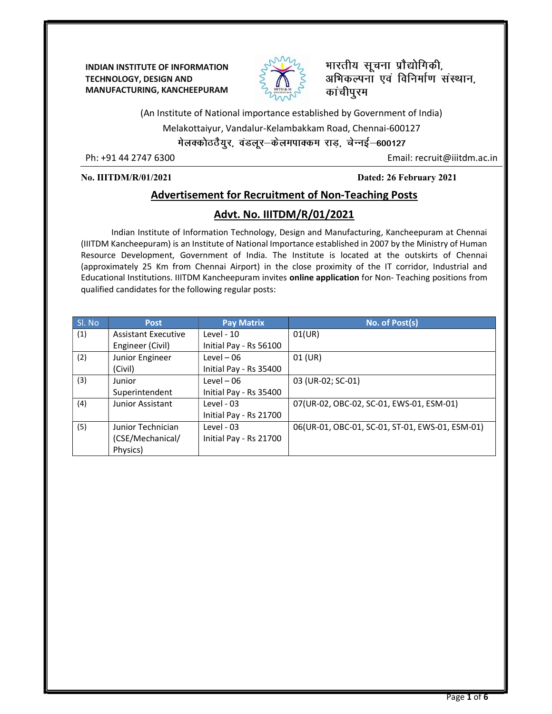INDIAN INSTITUTE OF INFORMATION TECHNOLOGY, DESIGN AND MANUFACTURING, KANCHEEPURAM



भारतीय सूचना प्रौद्योगिकी, अभिकल्पना एवं विनिर्माण संस्थान, कांचीपुरम

(An Institute of National importance established by Government of India)

Melakottaiyur, Vandalur-Kelambakkam Road, Chennai-600127

मेलक्कोठठैयुर, वडलूर-केलमपाक्कम राड़, चेन्नई-600127

Ph: +91 44 2747 6300 Email: recruit@iiitdm.ac.in

No. IIITDM/R/01/2021 Dated: 26 February 2021

### Advertisement for Recruitment of Non-Teaching Posts

### Advt. No. IIITDM/R/01/2021

Indian Institute of Information Technology, Design and Manufacturing, Kancheepuram at Chennai (IIITDM Kancheepuram) is an Institute of National Importance established in 2007 by the Ministry of Human Resource Development, Government of India. The Institute is located at the outskirts of Chennai (approximately 25 Km from Chennai Airport) in the close proximity of the IT corridor, Industrial and Educational Institutions. IIITDM Kancheepuram invites online application for Non- Teaching positions from qualified candidates for the following regular posts:

| Sl. No | <b>Post</b>                | <b>Pay Matrix</b>      | No. of Post(s)                                  |
|--------|----------------------------|------------------------|-------------------------------------------------|
| (1)    | <b>Assistant Executive</b> | Level - 10             | 01(UR)                                          |
|        | Engineer (Civil)           | Initial Pay - Rs 56100 |                                                 |
| (2)    | Junior Engineer            | $Level-06$             | $01$ (UR)                                       |
|        | (Civil)                    | Initial Pay - Rs 35400 |                                                 |
| (3)    | Junior                     | $Level-06$             | 03 (UR-02; SC-01)                               |
|        | Superintendent             | Initial Pay - Rs 35400 |                                                 |
| (4)    | Junior Assistant           | Level - 03             | 07(UR-02, OBC-02, SC-01, EWS-01, ESM-01)        |
|        |                            | Initial Pay - Rs 21700 |                                                 |
| (5)    | Junior Technician          | Level - 03             | 06(UR-01, OBC-01, SC-01, ST-01, EWS-01, ESM-01) |
|        | (CSE/Mechanical/           | Initial Pay - Rs 21700 |                                                 |
|        | Physics)                   |                        |                                                 |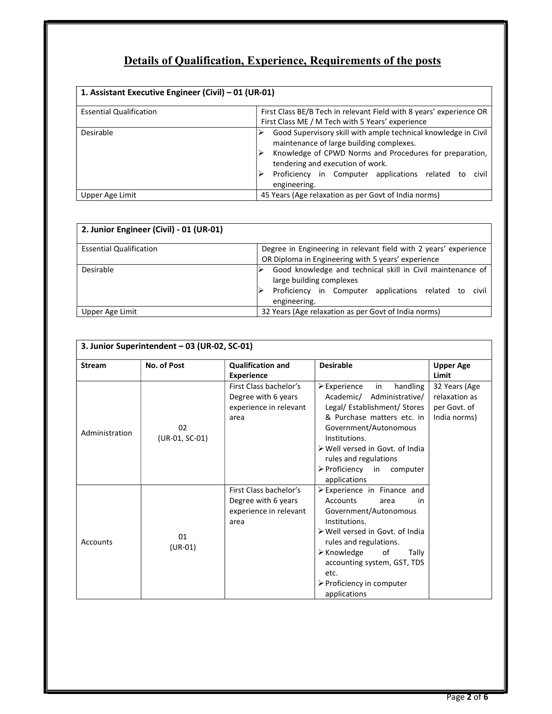# Details of Qualification, Experience, Requirements of the posts

| 1. Assistant Executive Engineer (Civil) - 01 (UR-01) |                                                                                                                                                                                                                                                                                          |  |  |  |  |  |  |
|------------------------------------------------------|------------------------------------------------------------------------------------------------------------------------------------------------------------------------------------------------------------------------------------------------------------------------------------------|--|--|--|--|--|--|
| <b>Essential Qualification</b>                       | First Class BE/B Tech in relevant Field with 8 years' experience OR<br>First Class ME / M Tech with 5 Years' experience                                                                                                                                                                  |  |  |  |  |  |  |
| Desirable                                            | Good Supervisory skill with ample technical knowledge in Civil<br>maintenance of large building complexes.<br>Knowledge of CPWD Norms and Procedures for preparation,<br>tendering and execution of work.<br>Proficiency in Computer applications related<br>civil<br>tο<br>engineering. |  |  |  |  |  |  |
| Upper Age Limit                                      | 45 Years (Age relaxation as per Govt of India norms)                                                                                                                                                                                                                                     |  |  |  |  |  |  |

| 2. Junior Engineer (Civil) - 01 (UR-01) |                                                                                                                                                                 |
|-----------------------------------------|-----------------------------------------------------------------------------------------------------------------------------------------------------------------|
| <b>Essential Qualification</b>          | Degree in Engineering in relevant field with 2 years' experience<br>OR Diploma in Engineering with 5 years' experience                                          |
| Desirable                               | Good knowledge and technical skill in Civil maintenance of<br>large building complexes<br>Proficiency in Computer applications related to civil<br>engineering. |
| Upper Age Limit                         | 32 Years (Age relaxation as per Govt of India norms)                                                                                                            |

| 3. Junior Superintendent - 03 (UR-02, SC-01) |                      |                                                                                 |                                                                                                                                                                                                                                                                                                                     |                                                                |  |  |  |
|----------------------------------------------|----------------------|---------------------------------------------------------------------------------|---------------------------------------------------------------------------------------------------------------------------------------------------------------------------------------------------------------------------------------------------------------------------------------------------------------------|----------------------------------------------------------------|--|--|--|
| <b>Stream</b>                                | No. of Post          | <b>Qualification and</b><br><b>Experience</b>                                   | <b>Desirable</b>                                                                                                                                                                                                                                                                                                    | <b>Upper Age</b><br>Limit                                      |  |  |  |
| Administration                               | 02<br>(UR-01, SC-01) | First Class bachelor's<br>Degree with 6 years<br>experience in relevant<br>area | $\triangleright$ Experience<br>handling<br>in<br>Administrative/<br>Academic/<br>Legal/ Establishment/ Stores<br>& Purchase matters etc. in<br>Government/Autonomous<br>Institutions.<br>≻ Well versed in Govt. of India<br>rules and regulations<br>$\triangleright$ Proficiency in computer<br>applications       | 32 Years (Age<br>relaxation as<br>per Govt. of<br>India norms) |  |  |  |
| Accounts                                     | 01<br>$(UR-01)$      | First Class bachelor's<br>Degree with 6 years<br>experience in relevant<br>area | $\triangleright$ Experience in Finance and<br><b>Accounts</b><br>area<br>in<br>Government/Autonomous<br>Institutions.<br>≻ Well versed in Govt. of India<br>rules and regulations.<br>≻ Knowledge<br>of<br>Tally<br>accounting system, GST, TDS<br>etc.<br>$\triangleright$ Proficiency in computer<br>applications |                                                                |  |  |  |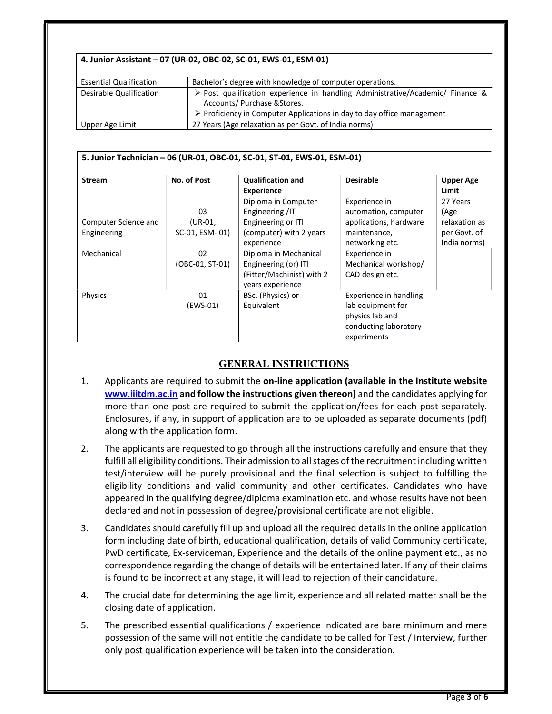#### 4. Junior Assistant – 07 (UR-02, OBC-02, SC-01, EWS-01, ESM-01)

| <b>Essential Qualification</b> | Bachelor's degree with knowledge of computer operations.                                                                                                                                                               |
|--------------------------------|------------------------------------------------------------------------------------------------------------------------------------------------------------------------------------------------------------------------|
| Desirable Qualification        | $\triangleright$ Post qualification experience in handling Administrative/Academic/ Finance &<br>Accounts/ Purchase & Stores.<br>$\triangleright$ Proficiency in Computer Applications in day to day office management |
| Upper Age Limit                | 27 Years (Age relaxation as per Govt. of India norms)                                                                                                                                                                  |

| <b>Stream</b>        | No. of Post     | 5. Junior Technician - 06 (UR-01, OBC-01, SC-01, ST-01, EWS-01, ESM-01)<br><b>Qualification and</b> | <b>Desirable</b>       | <b>Upper Age</b> |
|----------------------|-----------------|-----------------------------------------------------------------------------------------------------|------------------------|------------------|
|                      |                 | <b>Experience</b>                                                                                   |                        | Limit            |
|                      |                 | Diploma in Computer                                                                                 | Experience in          | 27 Years         |
|                      | 03              | Engineering /IT                                                                                     | automation, computer   | (Age             |
| Computer Science and | $(UR-01,$       | Engineering or ITI                                                                                  | applications, hardware | relaxation as    |
| Engineering          | SC-01, ESM-01)  | (computer) with 2 years                                                                             | maintenance,           | per Govt. of     |
|                      |                 | experience                                                                                          | networking etc.        | India norms)     |
| Mechanical           | 02              | Diploma in Mechanical                                                                               | Experience in          |                  |
|                      | (OBC-01, ST-01) | Engineering (or) ITI                                                                                | Mechanical workshop/   |                  |
|                      |                 | (Fitter/Machinist) with 2                                                                           | CAD design etc.        |                  |
|                      |                 | years experience                                                                                    |                        |                  |
| Physics              | 01              | BSc. (Physics) or                                                                                   | Experience in handling |                  |
|                      | (EWS-01)        | Equivalent                                                                                          | lab equipment for      |                  |
|                      |                 |                                                                                                     | physics lab and        |                  |
|                      |                 |                                                                                                     | conducting laboratory  |                  |
|                      |                 |                                                                                                     | experiments            |                  |

### GENERAL INSTRUCTIONS

- 1. Applicants are required to submit the on-line application (available in the Institute website www.iiitdm.ac.in and follow the instructions given thereon) and the candidates applying for more than one post are required to submit the application/fees for each post separately. Enclosures, if any, in support of application are to be uploaded as separate documents (pdf) along with the application form.
- 2. The applicants are requested to go through all the instructions carefully and ensure that they fulfill all eligibility conditions. Their admission to all stages of the recruitment including written test/interview will be purely provisional and the final selection is subject to fulfilling the eligibility conditions and valid community and other certificates. Candidates who have appeared in the qualifying degree/diploma examination etc. and whose results have not been declared and not in possession of degree/provisional certificate are not eligible.
- 3. Candidates should carefully fill up and upload all the required details in the online application form including date of birth, educational qualification, details of valid Community certificate, PwD certificate, Ex-serviceman, Experience and the details of the online payment etc., as no correspondence regarding the change of details will be entertained later. If any of their claims is found to be incorrect at any stage, it will lead to rejection of their candidature.
- 4. The crucial date for determining the age limit, experience and all related matter shall be the closing date of application.
- 5. The prescribed essential qualifications / experience indicated are bare minimum and mere possession of the same will not entitle the candidate to be called for Test / Interview, further only post qualification experience will be taken into the consideration.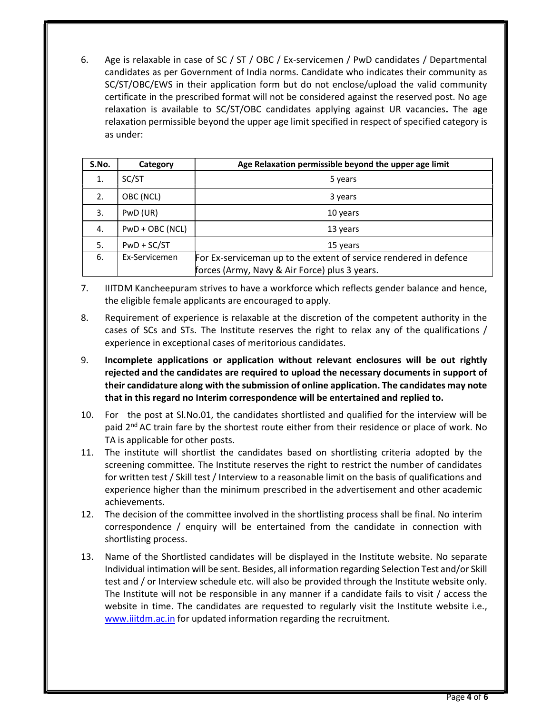6. Age is relaxable in case of SC / ST / OBC / Ex-servicemen / PwD candidates / Departmental candidates as per Government of India norms. Candidate who indicates their community as SC/ST/OBC/EWS in their application form but do not enclose/upload the valid community certificate in the prescribed format will not be considered against the reserved post. No age relaxation is available to SC/ST/OBC candidates applying against UR vacancies. The age relaxation permissible beyond the upper age limit specified in respect of specified category is as under:

| S.No. | Category        | Age Relaxation permissible beyond the upper age limit             |
|-------|-----------------|-------------------------------------------------------------------|
| 1.    | SC/ST           | 5 years                                                           |
| 2.    | OBC (NCL)       | 3 years                                                           |
| 3.    | PwD (UR)        | 10 years                                                          |
| 4.    | PwD + OBC (NCL) | 13 years                                                          |
| 5.    | $PWD + SC/ST$   | 15 years                                                          |
| 6.    | Ex-Servicemen   | For Ex-serviceman up to the extent of service rendered in defence |
|       |                 | forces (Army, Navy & Air Force) plus 3 years.                     |

- 7. IIITDM Kancheepuram strives to have a workforce which reflects gender balance and hence, the eligible female applicants are encouraged to apply.
- 8. Requirement of experience is relaxable at the discretion of the competent authority in the cases of SCs and STs. The Institute reserves the right to relax any of the qualifications / experience in exceptional cases of meritorious candidates.
- 9. Incomplete applications or application without relevant enclosures will be out rightly rejected and the candidates are required to upload the necessary documents in support of their candidature along with the submission of online application. The candidates may note that in this regard no Interim correspondence will be entertained and replied to.
- 10. For the post at Sl.No.01, the candidates shortlisted and qualified for the interview will be paid  $2<sup>nd</sup> AC$  train fare by the shortest route either from their residence or place of work. No TA is applicable for other posts.
- 11. The institute will shortlist the candidates based on shortlisting criteria adopted by the screening committee. The Institute reserves the right to restrict the number of candidates for written test / Skill test / Interview to a reasonable limit on the basis of qualifications and experience higher than the minimum prescribed in the advertisement and other academic achievements.
- 12. The decision of the committee involved in the shortlisting process shall be final. No interim correspondence / enquiry will be entertained from the candidate in connection with shortlisting process.
- 13. Name of the Shortlisted candidates will be displayed in the Institute website. No separate Individual intimation will be sent. Besides, all information regarding Selection Test and/or Skill test and / or Interview schedule etc. will also be provided through the Institute website only. The Institute will not be responsible in any manner if a candidate fails to visit / access the website in time. The candidates are requested to regularly visit the Institute website i.e., www.iiitdm.ac.in for updated information regarding the recruitment.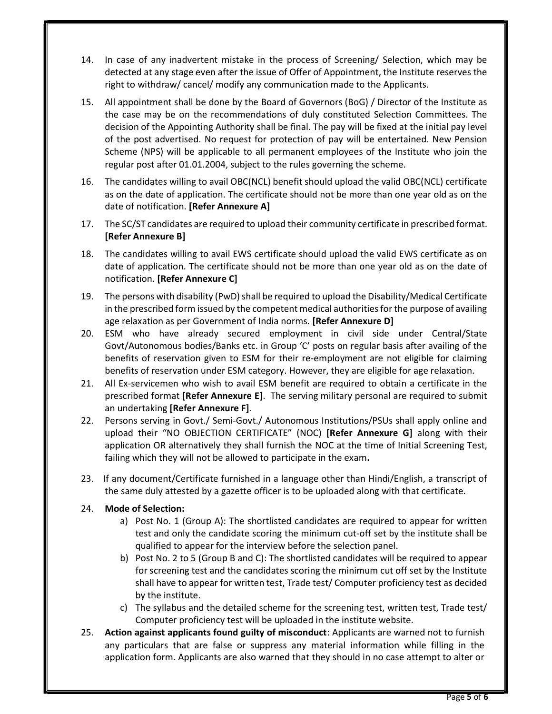- 14. In case of any inadvertent mistake in the process of Screening/ Selection, which may be detected at any stage even after the issue of Offer of Appointment, the Institute reserves the right to withdraw/ cancel/ modify any communication made to the Applicants.
- 15. All appointment shall be done by the Board of Governors (BoG) / Director of the Institute as the case may be on the recommendations of duly constituted Selection Committees. The decision of the Appointing Authority shall be final. The pay will be fixed at the initial pay level of the post advertised. No request for protection of pay will be entertained. New Pension Scheme (NPS) will be applicable to all permanent employees of the Institute who join the regular post after 01.01.2004, subject to the rules governing the scheme.
- 16. The candidates willing to avail OBC(NCL) benefit should upload the valid OBC(NCL) certificate as on the date of application. The certificate should not be more than one year old as on the date of notification. [Refer Annexure A]
- 17. The SC/ST candidates are required to upload their community certificate in prescribed format. [Refer Annexure B]
- 18. The candidates willing to avail EWS certificate should upload the valid EWS certificate as on date of application. The certificate should not be more than one year old as on the date of notification. [Refer Annexure C]
- 19. The persons with disability (PwD) shall be required to upload the Disability/Medical Certificate in the prescribed form issued by the competent medical authorities for the purpose of availing age relaxation as per Government of India norms. [Refer Annexure D]
- 20. ESM who have already secured employment in civil side under Central/State Govt/Autonomous bodies/Banks etc. in Group 'C' posts on regular basis after availing of the benefits of reservation given to ESM for their re-employment are not eligible for claiming benefits of reservation under ESM category. However, they are eligible for age relaxation.
- 21. All Ex-servicemen who wish to avail ESM benefit are required to obtain a certificate in the prescribed format [Refer Annexure E]. The serving military personal are required to submit an undertaking [Refer Annexure F].
- 22. Persons serving in Govt./ Semi-Govt./ Autonomous Institutions/PSUs shall apply online and upload their "NO OBJECTION CERTIFICATE" (NOC) [Refer Annexure G] along with their application OR alternatively they shall furnish the NOC at the time of Initial Screening Test, failing which they will not be allowed to participate in the exam.
- 23. If any document/Certificate furnished in a language other than Hindi/English, a transcript of the same duly attested by a gazette officer is to be uploaded along with that certificate.

### 24. Mode of Selection:

- a) Post No. 1 (Group A): The shortlisted candidates are required to appear for written test and only the candidate scoring the minimum cut-off set by the institute shall be qualified to appear for the interview before the selection panel.
- b) Post No. 2 to 5 (Group B and C): The shortlisted candidates will be required to appear for screening test and the candidates scoring the minimum cut off set by the Institute shall have to appear for written test, Trade test/ Computer proficiency test as decided by the institute.
- c) The syllabus and the detailed scheme for the screening test, written test, Trade test/ Computer proficiency test will be uploaded in the institute website.
- 25. Action against applicants found guilty of misconduct: Applicants are warned not to furnish any particulars that are false or suppress any material information while filling in the application form. Applicants are also warned that they should in no case attempt to alter or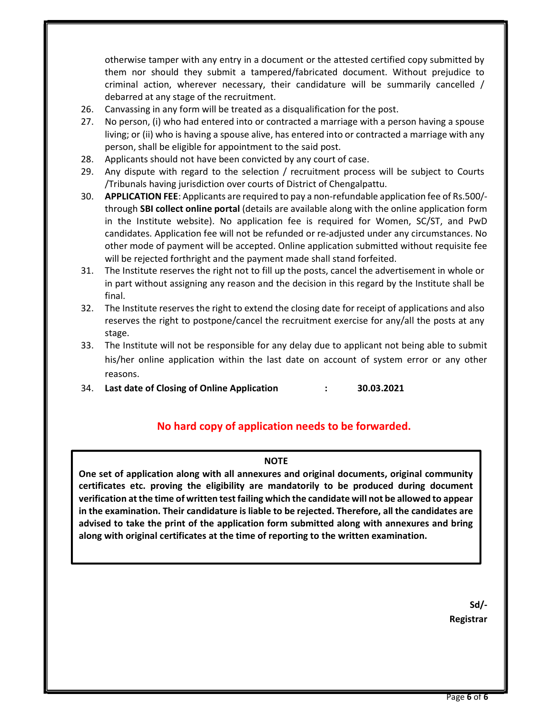otherwise tamper with any entry in a document or the attested certified copy submitted by them nor should they submit a tampered/fabricated document. Without prejudice to criminal action, wherever necessary, their candidature will be summarily cancelled / debarred at any stage of the recruitment.

- 26. Canvassing in any form will be treated as a disqualification for the post.
- 27. No person, (i) who had entered into or contracted a marriage with a person having a spouse living; or (ii) who is having a spouse alive, has entered into or contracted a marriage with any person, shall be eligible for appointment to the said post.
- 28. Applicants should not have been convicted by any court of case.
- 29. Any dispute with regard to the selection / recruitment process will be subject to Courts /Tribunals having jurisdiction over courts of District of Chengalpattu.
- 30. APPLICATION FEE: Applicants are required to pay a non-refundable application fee of Rs.500/ through SBI collect online portal (details are available along with the online application form in the Institute website). No application fee is required for Women, SC/ST, and PwD candidates. Application fee will not be refunded or re-adjusted under any circumstances. No other mode of payment will be accepted. Online application submitted without requisite fee will be rejected forthright and the payment made shall stand forfeited.
- 31. The Institute reserves the right not to fill up the posts, cancel the advertisement in whole or in part without assigning any reason and the decision in this regard by the Institute shall be final.
- 32. The Institute reserves the right to extend the closing date for receipt of applications and also reserves the right to postpone/cancel the recruitment exercise for any/all the posts at any stage.
- 33. The Institute will not be responsible for any delay due to applicant not being able to submit his/her online application within the last date on account of system error or any other reasons.
- 34. Last date of Closing of Online Application : 30.03.2021

### No hard copy of application needs to be forwarded.

#### NOTE

One set of application along with all annexures and original documents, original community certificates etc. proving the eligibility are mandatorily to be produced during document verification at the time of written test failing which the candidate will not be allowed to appear in the examination. Their candidature is liable to be rejected. Therefore, all the candidates are advised to take the print of the application form submitted along with annexures and bring along with original certificates at the time of reporting to the written examination.

> Sd/- Registrar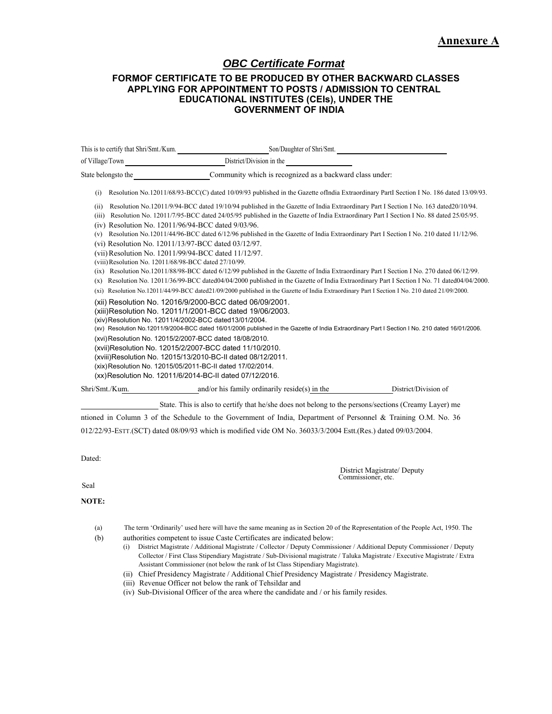# *OBC Certificate Format*

#### **FORMOF CERTIFICATE TO BE PRODUCED BY OTHER BACKWARD CLASSES APPLYING FOR APPOINTMENT TO POSTS / ADMISSION TO CENTRAL EDUCATIONAL INSTITUTES (CEIs), UNDER THE GOVERNMENT OF INDIA**

| This is to certify that Shri/Smt./Kum.                                                                                                                                                                                                                            | Son/Daughter of Shri/Smt.                                                                                                                                                                                                                                                                                                                                                                                                                                                                                                                                                                                                                                                                                                                                                                                                                                |                      |
|-------------------------------------------------------------------------------------------------------------------------------------------------------------------------------------------------------------------------------------------------------------------|----------------------------------------------------------------------------------------------------------------------------------------------------------------------------------------------------------------------------------------------------------------------------------------------------------------------------------------------------------------------------------------------------------------------------------------------------------------------------------------------------------------------------------------------------------------------------------------------------------------------------------------------------------------------------------------------------------------------------------------------------------------------------------------------------------------------------------------------------------|----------------------|
| of Village/Town                                                                                                                                                                                                                                                   | District/Division in the                                                                                                                                                                                                                                                                                                                                                                                                                                                                                                                                                                                                                                                                                                                                                                                                                                 |                      |
| State belongsto the                                                                                                                                                                                                                                               | Community which is recognized as a backward class under:                                                                                                                                                                                                                                                                                                                                                                                                                                                                                                                                                                                                                                                                                                                                                                                                 |                      |
| (i)                                                                                                                                                                                                                                                               | Resolution No.12011/68/93-BCC(C) dated 10/09/93 published in the Gazette of India Extraordinary Part I Section I No. 186 dated 13/09/93.                                                                                                                                                                                                                                                                                                                                                                                                                                                                                                                                                                                                                                                                                                                 |                      |
| (ii)<br>(iii)<br>(iv) Resolution No. 12011/96/94-BCC dated 9/03/96.<br>(v)<br>(vi) Resolution No. 12011/13/97-BCC dated 03/12/97.<br>(vii) Resolution No. 12011/99/94-BCC dated 11/12/97.<br>(viii) Resolution No. 12011/68/98-BCC dated 27/10/99.<br>(ix)<br>(x) | Resolution No.12011/9/94-BCC dated 19/10/94 published in the Gazette of India Extraordinary Part I Section I No. 163 dated 20/10/94.<br>Resolution No. 12011/7/95-BCC dated 24/05/95 published in the Gazette of India Extraordinary Part I Section I No. 88 dated 25/05/95.<br>Resolution No.12011/44/96-BCC dated 6/12/96 published in the Gazette of India Extraordinary Part I Section I No. 210 dated 11/12/96.<br>Resolution No.12011/88/98-BCC dated 6/12/99 published in the Gazette of India Extraordinary Part I Section I No. 270 dated 06/12/99.<br>Resolution No. 12011/36/99-BCC dated04/04/2000 published in the Gazette of India Extraordinary Part I Section I No. 71 dated04/04/2000.<br>(xi) Resolution No.12011/44/99-BCC dated21/09/2000 published in the Gazette of India Extraordinary Part I Section I No. 210 dated 21/09/2000. |                      |
| (xiv) Resolution No. 12011/4/2002-BCC dated13/01/2004.<br>(xvi) Resolution No. 12015/2/2007-BCC dated 18/08/2010.<br>(xix) Resolution No. 12015/05/2011-BC-II dated 17/02/2014.                                                                                   | (xii) Resolution No. 12016/9/2000-BCC dated 06/09/2001.<br>(xiii)Resolution No. 12011/1/2001-BCC dated 19/06/2003.<br>(xv) Resolution No.12011/9/2004-BCC dated 16/01/2006 published in the Gazette of India Extraordinary Part I Section I No. 210 dated 16/01/2006.<br>(xvii)Resolution No. 12015/2/2007-BCC dated 11/10/2010.<br>(xviii)Resolution No. 12015/13/2010-BC-II dated 08/12/2011.<br>(xx) Resolution No. 12011/6/2014-BC-II dated 07/12/2016.                                                                                                                                                                                                                                                                                                                                                                                              |                      |
| Shri/Smt./Kum.                                                                                                                                                                                                                                                    | and/or his family ordinarily reside(s) in the                                                                                                                                                                                                                                                                                                                                                                                                                                                                                                                                                                                                                                                                                                                                                                                                            | District/Division of |
|                                                                                                                                                                                                                                                                   | State. This is also to certify that he/she does not belong to the persons/sections (Creamy Layer) me                                                                                                                                                                                                                                                                                                                                                                                                                                                                                                                                                                                                                                                                                                                                                     |                      |
|                                                                                                                                                                                                                                                                   | $\mathcal{L} = \mathbf{1}^T$ at $\mathbf{1} = \mathbf{1}$ and $\mathbf{1} = \mathbf{1}$ and $\mathbf{1} = \mathbf{1}$ and $\mathbf{1} = \mathbf{1}$ and $\mathbf{1} = \mathbf{1}$ and $\mathbf{1} = \mathbf{1}$ and $\mathbf{1} = \mathbf{1}$ and $\mathbf{1} = \mathbf{1}$ and $\mathbf{1} = \mathbf{1}$ and $\mathbf{1} = \mathbf{1}$ and                                                                                                                                                                                                                                                                                                                                                                                                                                                                                                              |                      |

ntioned in Column 3 of the Schedule to the Government of India, Department of Personnel & Training O.M. No. 36 012/22/93-ESTT.(SCT) dated 08/09/93 which is modified vide OM No. 36033/3/2004 Estt.(Res.) dated 09/03/2004.

Dated:

District Magistrate/ Deputy Commissioner, etc.

Seal

#### **NOTE:**

- (a) The term 'Ordinarily' used here will have the same meaning as in Section 20 of the Representation of the People Act, 1950. The
- (b) authorities competent to issue Caste Certificates are indicated below:
	- (i) District Magistrate / Additional Magistrate / Collector / Deputy Commissioner / Additional Deputy Commissioner / Deputy Collector / First Class Stipendiary Magistrate / Sub-Divisional magistrate / Taluka Magistrate / Executive Magistrate / Extra Assistant Commissioner (not below the rank of Ist Class Stipendiary Magistrate).
	- (ii) Chief Presidency Magistrate / Additional Chief Presidency Magistrate / Presidency Magistrate.
	- (iii) Revenue Officer not below the rank of Tehsildar and
	- (iv) Sub-Divisional Officer of the area where the candidate and / or his family resides.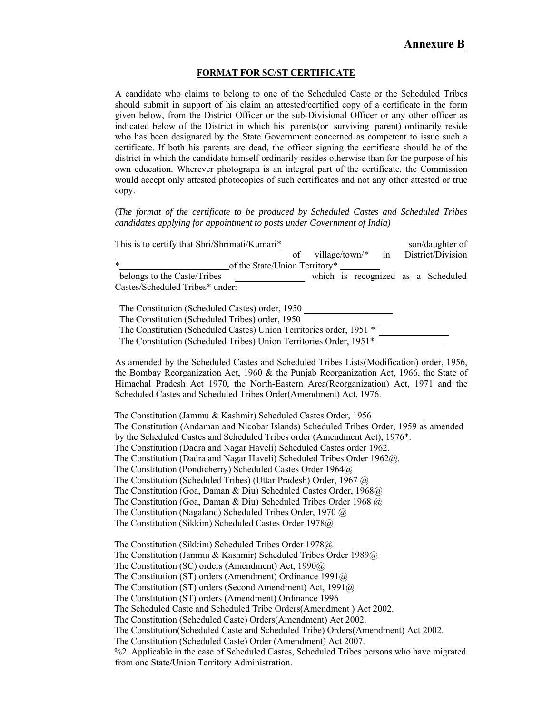#### **FORMAT FOR SC/ST CERTIFICATE**

A candidate who claims to belong to one of the Scheduled Caste or the Scheduled Tribes should submit in support of his claim an attested/certified copy of a certificate in the form given below, from the District Officer or the sub-Divisional Officer or any other officer as indicated below of the District in which his parents(or surviving parent) ordinarily reside who has been designated by the State Government concerned as competent to issue such a certificate. If both his parents are dead, the officer signing the certificate should be of the district in which the candidate himself ordinarily resides otherwise than for the purpose of his own education. Wherever photograph is an integral part of the certificate, the Commission would accept only attested photocopies of such certificates and not any other attested or true copy.

(*The format of the certificate to be produced by Scheduled Castes and Scheduled Tribes candidates applying for appointment to posts under Government of India)* 

| This is to certify that Shri/Shrimati/Kumari* |    |  | son/daughter of                     |
|-----------------------------------------------|----|--|-------------------------------------|
|                                               | of |  | village/town/* in District/Division |
| $\ast$<br>of the State/Union Territory*       |    |  |                                     |
| belongs to the Caste/Tribes                   |    |  | which is recognized as a Scheduled  |
| Castes/Scheduled Tribes* under:-              |    |  |                                     |

The Constitution (Scheduled Castes) order, 1950 The Constitution (Scheduled Tribes) order, 1950 The Constitution (Scheduled Castes) Union Territories order, 1951 \* The Constitution (Scheduled Tribes) Union Territories Order, 1951\*

As amended by the Scheduled Castes and Scheduled Tribes Lists(Modification) order, 1956, the Bombay Reorganization Act, 1960 & the Punjab Reorganization Act, 1966, the State of Himachal Pradesh Act 1970, the North-Eastern Area(Reorganization) Act, 1971 and the Scheduled Castes and Scheduled Tribes Order(Amendment) Act, 1976.

The Constitution (Jammu & Kashmir) Scheduled Castes Order, 1956 The Constitution (Andaman and Nicobar Islands) Scheduled Tribes Order, 1959 as amended by the Scheduled Castes and Scheduled Tribes order (Amendment Act), 1976\*. The Constitution (Dadra and Nagar Haveli) Scheduled Castes order 1962. The Constitution (Dadra and Nagar Haveli) Scheduled Tribes Order 1962@. The Constitution (Pondicherry) Scheduled Castes Order 1964@ The Constitution (Scheduled Tribes) (Uttar Pradesh) Order, 1967 @ The Constitution (Goa, Daman & Diu) Scheduled Castes Order, 1968@ The Constitution (Goa, Daman & Diu) Scheduled Tribes Order 1968 @ The Constitution (Nagaland) Scheduled Tribes Order, 1970 @ The Constitution (Sikkim) Scheduled Castes Order 1978@

The Constitution (Sikkim) Scheduled Tribes Order 1978@ The Constitution (Jammu & Kashmir) Scheduled Tribes Order 1989@ The Constitution (SC) orders (Amendment) Act, 1990@ The Constitution (ST) orders (Amendment) Ordinance 1991@ The Constitution (ST) orders (Second Amendment) Act, 1991@ The Constitution (ST) orders (Amendment) Ordinance 1996 The Scheduled Caste and Scheduled Tribe Orders(Amendment ) Act 2002. The Constitution (Scheduled Caste) Orders(Amendment) Act 2002. The Constitution(Scheduled Caste and Scheduled Tribe) Orders(Amendment) Act 2002. The Constitution (Scheduled Caste) Order (Amendment) Act 2007. %2. Applicable in the case of Scheduled Castes, Scheduled Tribes persons who have migrated from one State/Union Territory Administration.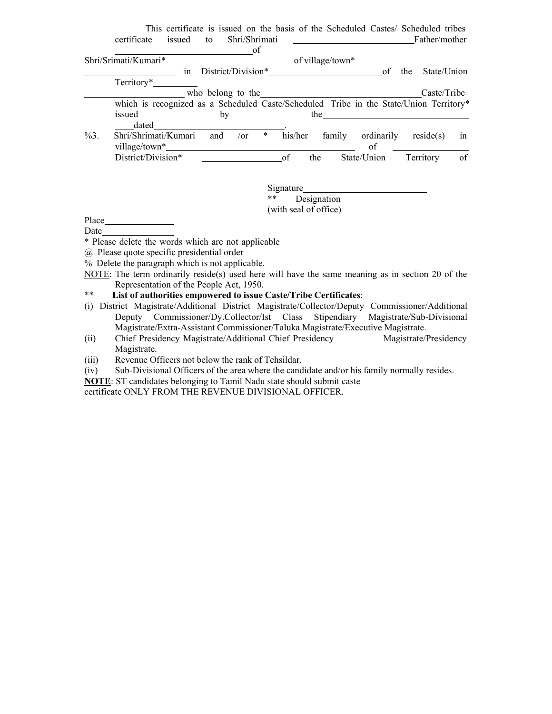|         | This certificate is issued on the basis of the Scheduled Castes/ Scheduled tribes      |     |                    |        |         |     |                  |             |     |               |    |
|---------|----------------------------------------------------------------------------------------|-----|--------------------|--------|---------|-----|------------------|-------------|-----|---------------|----|
|         | certificate<br>issued                                                                  | to  | Shri/Shrimati      |        |         |     |                  |             |     | Father/mother |    |
|         |                                                                                        |     |                    | of     |         |     |                  |             |     |               |    |
|         | Shri/Srimati/Kumari*                                                                   |     |                    |        |         |     | of village/town* |             |     |               |    |
|         |                                                                                        | in  | District/Division* |        |         |     |                  | of          | the | State/Union   |    |
|         | Territory*                                                                             |     |                    |        |         |     |                  |             |     |               |    |
|         |                                                                                        |     | who belong to the  |        |         |     |                  |             |     | Caste/Tribe   |    |
|         | which is recognized as a Scheduled Caste/Scheduled Tribe in the State/Union Territory* |     |                    |        |         |     |                  |             |     |               |    |
|         | issued                                                                                 |     | by                 |        |         | the |                  |             |     |               |    |
|         | dated                                                                                  |     |                    |        |         |     |                  |             |     |               |    |
| $\%3$ . | Shri/Shrimati/Kumari                                                                   | and | $\sqrt{or}$        | $\ast$ | his/her |     | family           | ordinarily  |     | reside(s)     | in |
|         | village/town*                                                                          |     |                    |        |         |     |                  | of          |     |               |    |
|         | District/Division*                                                                     |     |                    |        | of      | the |                  | State/Union |     | Territory     | of |
|         |                                                                                        |     |                    |        |         |     |                  |             |     |               |    |

Signature\_

\*\* Designation

(with seal of office)

Place Date

\* Please delete the words which are not applicable

@ Please quote specific presidential order

% Delete the paragraph which is not applicable.

NOTE: The term ordinarily reside(s) used here will have the same meaning as in section 20 of the Representation of the People Act, 1950.

\*\* **List of authorities empowered to issue Caste/Tribe Certificates**:

(i) District Magistrate/Additional District Magistrate/Collector/Deputy Commissioner/Additional Deputy Commissioner/Dy.Collector/Ist Class Stipendiary Magistrate/Sub-Divisional Magistrate/Extra-Assistant Commissioner/Taluka Magistrate/Executive Magistrate.

(ii) Chief Presidency Magistrate/Additional Chief Presidency Magistrate/Presidency Magistrate.

(iii) Revenue Officers not below the rank of Tehsildar.

(iv) Sub-Divisional Officers of the area where the candidate and/or his family normally resides.

**NOTE**: ST candidates belonging to Tamil Nadu state should submit caste

certificate ONLY FROM THE REVENUE DIVISIONAL OFFICER.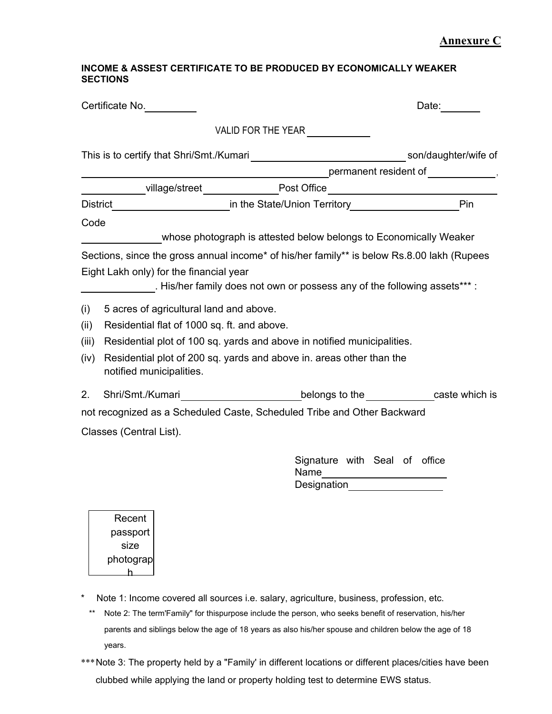### **Annexure C**

#### **INCOME & ASSEST CERTIFICATE TO BE PRODUCED BY ECONOMICALLY WEAKER SECTIONS**

|       | Certificate No.                              |                                                                                                 | Date: <b>Date</b>                                         |
|-------|----------------------------------------------|-------------------------------------------------------------------------------------------------|-----------------------------------------------------------|
|       |                                              | VALID FOR THE YEAR                                                                              |                                                           |
|       |                                              |                                                                                                 |                                                           |
|       |                                              |                                                                                                 | $\begin{array}{c}\text{permanent resident of}\end{array}$ |
|       |                                              |                                                                                                 |                                                           |
|       | <b>District</b>                              |                                                                                                 | Pin                                                       |
| Code  |                                              |                                                                                                 |                                                           |
|       |                                              | whose photograph is attested below belongs to Economically Weaker                               |                                                           |
|       |                                              | Sections, since the gross annual income* of his/her family** is below Rs.8.00 lakh (Rupees      |                                                           |
|       | Eight Lakh only) for the financial year      |                                                                                                 |                                                           |
|       |                                              | . His/her family does not own or possess any of the following assets***:                        |                                                           |
| (i)   | 5 acres of agricultural land and above.      |                                                                                                 |                                                           |
| (ii)  | Residential flat of 1000 sq. ft. and above.  |                                                                                                 |                                                           |
| (iii) |                                              | Residential plot of 100 sq. yards and above in notified municipalities.                         |                                                           |
| (iv)  | notified municipalities.                     | Residential plot of 200 sq. yards and above in. areas other than the                            |                                                           |
| 2.    |                                              | Shri/Smt./Kumari_____________________________belongs to the_____________caste which is          |                                                           |
|       |                                              | not recognized as a Scheduled Caste, Scheduled Tribe and Other Backward                         |                                                           |
|       | Classes (Central List).                      |                                                                                                 |                                                           |
|       |                                              | Signature with Seal of office<br>Name _______________________<br><b>Designation Designation</b> |                                                           |
|       | Recent<br>passport<br>size<br>photograp<br>h |                                                                                                 |                                                           |

- \* Note 1: Income covered all sources i.e. salary, agriculture, business, profession, etc.
	- \*\* Note 2: The term'Family" for thispurpose include the person, who seeks benefit of reservation, his/her parents and siblings below the age of 18 years as also his/her spouse and children below the age of 18 years.
- \*\*\* Note 3: The property held by a "Family' in different locations or different places/cities have been clubbed while applying the land or property holding test to determine EWS status.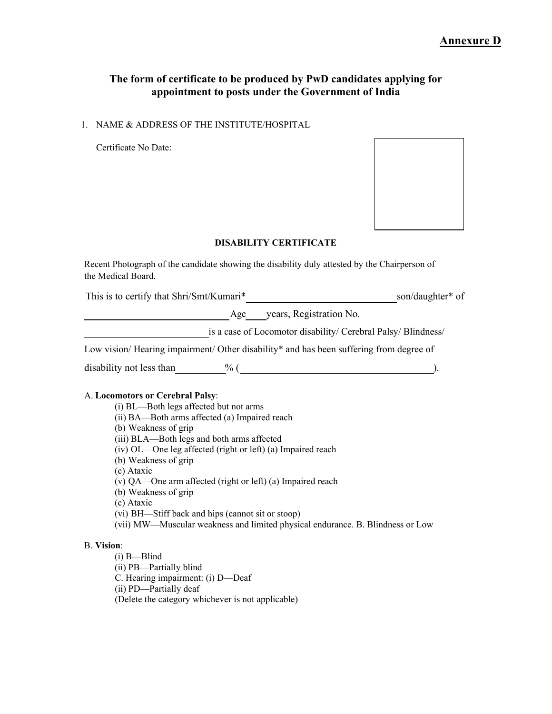### **The form of certificate to be produced by PwD candidates applying for appointment to posts under the Government of India**

1. NAME & ADDRESS OF THE INSTITUTE/HOSPITAL

Certificate No Date:



#### **DISABILITY CERTIFICATE**

Recent Photograph of the candidate showing the disability duly attested by the Chairperson of the Medical Board.

This is to certify that Shri/Smt/Kumari\* son/daughter\* of

Age years, Registration No.

is a case of Locomotor disability/ Cerebral Palsy/ Blindness/

Low vision/ Hearing impairment/ Other disability\* and has been suffering from degree of

disability not less than  $\%$  ( ).

#### A. **Locomotors or Cerebral Palsy**:

- (i) BL—Both legs affected but not arms
- (ii) BA—Both arms affected (a) Impaired reach

(b) Weakness of grip

- (iii) BLA—Both legs and both arms affected
- (iv) OL—One leg affected (right or left) (a) Impaired reach
- (b) Weakness of grip
- (c) Ataxic
- (v) QA—One arm affected (right or left) (a) Impaired reach
- (b) Weakness of grip

(c) Ataxic

- (vi) BH—Stiff back and hips (cannot sit or stoop)
- (vii) MW—Muscular weakness and limited physical endurance. B. Blindness or Low

#### B. **Vision**:

(i) B—Blind

(ii) PB—Partially blind

C. Hearing impairment: (i) D—Deaf

(ii) PD—Partially deaf

(Delete the category whichever is not applicable)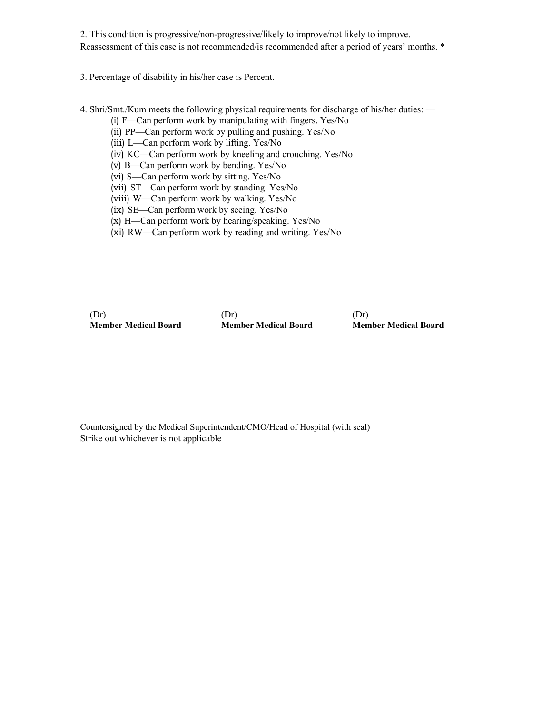2. This condition is progressive/non-progressive/likely to improve/not likely to improve. Reassessment of this case is not recommended/is recommended after a period of years' months. \*

3. Percentage of disability in his/her case is Percent.

- 4. Shri/Smt./Kum meets the following physical requirements for discharge of his/her duties:
	- (i) F—Can perform work by manipulating with fingers. Yes/No
	- (ii) PP—Can perform work by pulling and pushing. Yes/No
	- (iii) L—Can perform work by lifting. Yes/No
	- (iv) KC—Can perform work by kneeling and crouching. Yes/No
	- (v) B—Can perform work by bending. Yes/No
	- (vi) S—Can perform work by sitting. Yes/No
	- (vii) ST—Can perform work by standing. Yes/No
	- (viii) W—Can perform work by walking. Yes/No
	- (ix) SE—Can perform work by seeing. Yes/No
	- (x) H—Can perform work by hearing/speaking. Yes/No
	- (xi) RW—Can perform work by reading and writing. Yes/No

(Dr) **Member Medical Board** (Dr) **Member Medical Board** (Dr) **Member Medical Board**

Countersigned by the Medical Superintendent/CMO/Head of Hospital (with seal) Strike out whichever is not applicable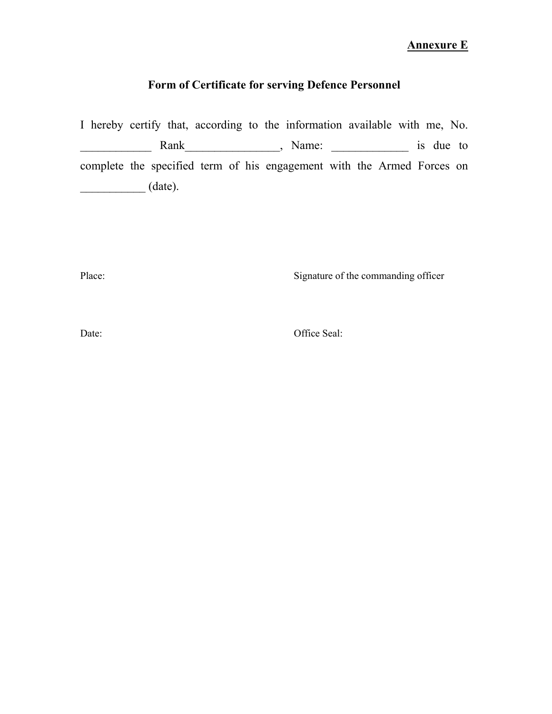# **Annexure E**

# **Form of Certificate for serving Defence Personnel**

I hereby certify that, according to the information available with me, No. \_\_\_\_\_\_\_\_\_\_\_\_ Rank\_\_\_\_\_\_\_\_\_\_\_\_\_\_\_\_, Name: \_\_\_\_\_\_\_\_\_\_\_\_\_ is due to complete the specified term of his engagement with the Armed Forces on  $\qquad \qquad \qquad \qquad \text{(date).}$ 

Place: Signature of the commanding officer

Date: Office Seal: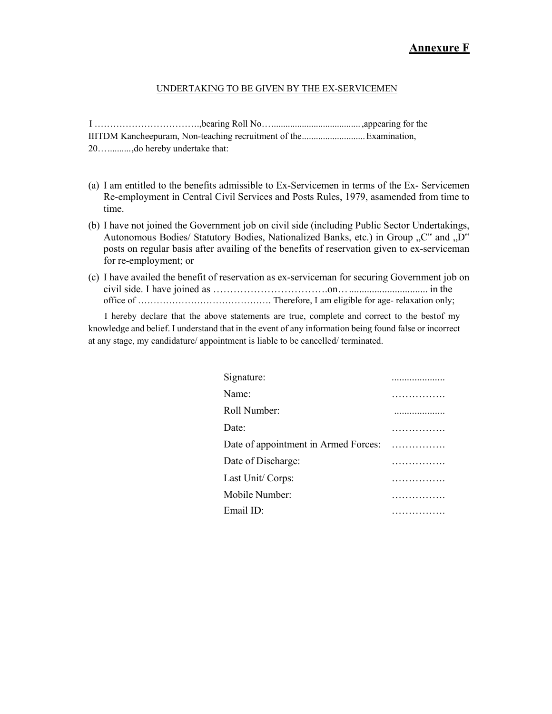#### UNDERTAKING TO BE GIVEN BY THE EX-SERVICEMEN

I …………………………….,bearing Roll No… ...................................... ,appearing for the IIITDM Kancheepuram, Non-teaching recruitment of the ........................... Examination, 20… .......... ,do hereby undertake that:

- (a) I am entitled to the benefits admissible to Ex-Servicemen in terms of the Ex- Servicemen Re-employment in Central Civil Services and Posts Rules, 1979, as amended from time to time.
- (b) I have not joined the Government job on civil side (including Public Sector Undertakings, Autonomous Bodies/ Statutory Bodies, Nationalized Banks, etc.) in Group "C" and "D" posts on regular basis after availing of the benefits of reservation given to ex-serviceman for re-employment; or
- (c) I have availed the benefit of reservation as ex-serviceman for securing Government job on civil side. I have joined as …………………………….on… ............................... in the office of ……………………………………. Therefore, I am eligible for age- relaxation only;

I hereby declare that the above statements are true, complete and correct to the best of my knowledge and belief. I understand that in the event of any information being found false or incorrect at any stage, my candidature/ appointment is liable to be cancelled/ terminated.

| Signature:                           | . |
|--------------------------------------|---|
| Name:                                |   |
| Roll Number:                         |   |
| Date:                                |   |
| Date of appointment in Armed Forces: |   |
| Date of Discharge:                   |   |
| Last Unit/Corps:                     |   |
| Mobile Number:                       |   |
| Email $ID:$                          |   |
|                                      |   |